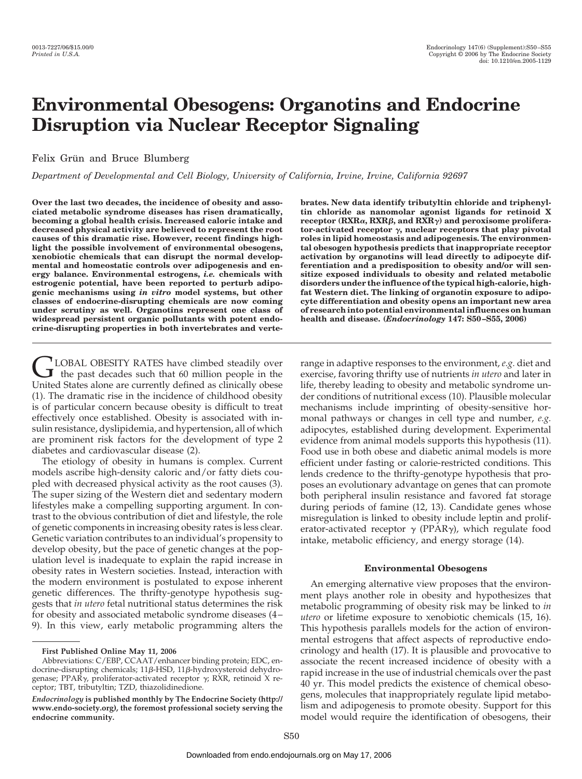# **Environmental Obesogens: Organotins and Endocrine Disruption via Nuclear Receptor Signaling**

# Felix Grün and Bruce Blumberg

*Department of Developmental and Cell Biology, University of California, Irvine, Irvine, California 92697*

**Over the last two decades, the incidence of obesity and associated metabolic syndrome diseases has risen dramatically, becoming a global health crisis. Increased caloric intake and decreased physical activity are believed to represent the root causes of this dramatic rise. However, recent findings highlight the possible involvement of environmental obesogens, xenobiotic chemicals that can disrupt the normal developmental and homeostatic controls over adipogenesis and energy balance. Environmental estrogens,** *i.e.* **chemicals with estrogenic potential, have been reported to perturb adipogenic mechanisms using** *in vitro* **model systems, but other classes of endocrine-disrupting chemicals are now coming under scrutiny as well. Organotins represent one class of widespread persistent organic pollutants with potent endocrine-disrupting properties in both invertebrates and verte-**

CLOBAL OBESITY RATES have climbed steadily over<br>the past decades such that 60 million people in the<br>United States along are currently defined as clinically obeca United States alone are currently defined as clinically obese (1). The dramatic rise in the incidence of childhood obesity is of particular concern because obesity is difficult to treat effectively once established. Obesity is associated with insulin resistance, dyslipidemia, and hypertension, all of which are prominent risk factors for the development of type 2 diabetes and cardiovascular disease (2).

The etiology of obesity in humans is complex. Current models ascribe high-density caloric and/or fatty diets coupled with decreased physical activity as the root causes (3). The super sizing of the Western diet and sedentary modern lifestyles make a compelling supporting argument. In contrast to the obvious contribution of diet and lifestyle, the role of genetic components in increasing obesity rates is less clear. Genetic variation contributes to an individual's propensity to develop obesity, but the pace of genetic changes at the population level is inadequate to explain the rapid increase in obesity rates in Western societies. Instead, interaction with the modern environment is postulated to expose inherent genetic differences. The thrifty-genotype hypothesis suggests that *in utero* fetal nutritional status determines the risk for obesity and associated metabolic syndrome diseases (4 – 9). In this view, early metabolic programming alters the

**brates. New data identify tributyltin chloride and triphenyltin chloride as nanomolar agonist ligands for retinoid X** receptor (RXRα, RXRβ, and RXRγ) and peroxisome proliferator-activated receptor  $\gamma$ , nuclear receptors that play pivotal **roles in lipid homeostasis and adipogenesis. The environmental obesogen hypothesis predicts that inappropriate receptor activation by organotins will lead directly to adipocyte differentiation and a predisposition to obesity and/or will sensitize exposed individuals to obesity and related metabolic disorders under the influence of the typical high-calorie, highfat Western diet. The linking of organotin exposure to adipocyte differentiation and obesity opens an important new area of research into potential environmental influences on human health and disease. (***Endocrinology* **147: S50 –S55, 2006)**

range in adaptive responses to the environment, *e.g.* diet and exercise, favoring thrifty use of nutrients *in utero* and later in life, thereby leading to obesity and metabolic syndrome under conditions of nutritional excess (10). Plausible molecular mechanisms include imprinting of obesity-sensitive hormonal pathways or changes in cell type and number, *e.g.* adipocytes, established during development. Experimental evidence from animal models supports this hypothesis (11). Food use in both obese and diabetic animal models is more efficient under fasting or calorie-restricted conditions. This lends credence to the thrifty-genotype hypothesis that proposes an evolutionary advantage on genes that can promote both peripheral insulin resistance and favored fat storage during periods of famine (12, 13). Candidate genes whose misregulation is linked to obesity include leptin and proliferator-activated receptor  $\gamma$  (PPAR $\gamma$ ), which regulate food intake, metabolic efficiency, and energy storage (14).

# **Environmental Obesogens**

An emerging alternative view proposes that the environment plays another role in obesity and hypothesizes that metabolic programming of obesity risk may be linked to *in utero* or lifetime exposure to xenobiotic chemicals (15, 16). This hypothesis parallels models for the action of environmental estrogens that affect aspects of reproductive endocrinology and health (17). It is plausible and provocative to associate the recent increased incidence of obesity with a rapid increase in the use of industrial chemicals over the past 40 yr. This model predicts the existence of chemical obesogens, molecules that inappropriately regulate lipid metabolism and adipogenesis to promote obesity. Support for this model would require the identification of obesogens, their

**First Published Online May 11, 2006**

Abbreviations: C/EBP, CCAAT/enhancer binding protein; EDC, endocrine-disrupting chemicals; 11β-HSD, 11β-hydroxysteroid dehydrogenase; PPAR $\gamma$ , proliferator-activated receptor  $\gamma$ ; RXR, retinoid X receptor; TBT, tributyltin; TZD, thiazolidinedione.

*Endocrinology* **is published monthly by The Endocrine Society (http:// www.endo-society.org), the foremost professional society serving the endocrine community.**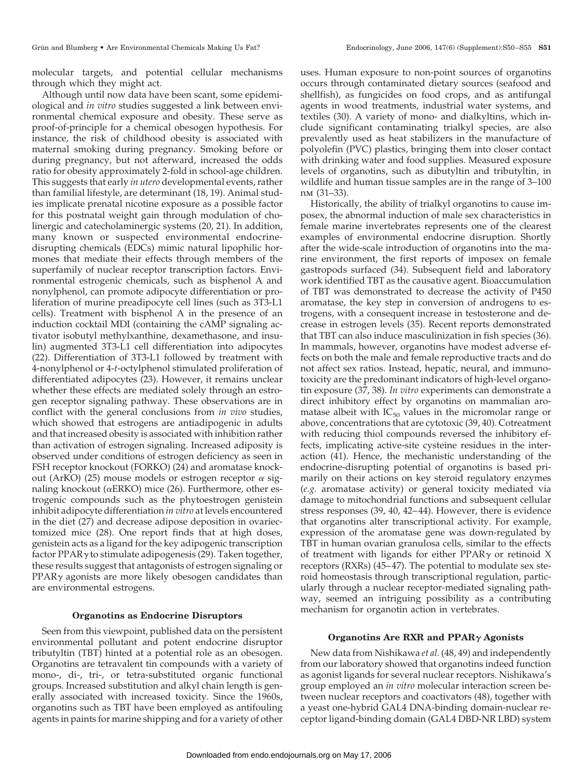molecular targets, and potential cellular mechanisms through which they might act.

Although until now data have been scant, some epidemiological and *in vitro* studies suggested a link between environmental chemical exposure and obesity. These serve as proof-of-principle for a chemical obesogen hypothesis. For instance, the risk of childhood obesity is associated with maternal smoking during pregnancy. Smoking before or during pregnancy, but not afterward, increased the odds ratio for obesity approximately 2-fold in school-age children. This suggests that early *in utero* developmental events, rather than familial lifestyle, are determinant (18, 19). Animal studies implicate prenatal nicotine exposure as a possible factor for this postnatal weight gain through modulation of cholinergic and catecholaminergic systems (20, 21). In addition, many known or suspected environmental endocrinedisrupting chemicals (EDCs) mimic natural lipophilic hormones that mediate their effects through members of the superfamily of nuclear receptor transcription factors. Environmental estrogenic chemicals, such as bisphenol A and nonylphenol, can promote adipocyte differentiation or proliferation of murine preadipocyte cell lines (such as 3T3-L1 cells). Treatment with bisphenol A in the presence of an induction cocktail MDI (containing the cAMP signaling activator isobutyl methylxanthine, dexamethasone, and insulin) augmented 3T3-L1 cell differentiation into adipocytes (22). Differentiation of 3T3-L1 followed by treatment with 4-nonylphenol or 4-*t*-octylphenol stimulated proliferation of differentiated adipocytes (23). However, it remains unclear whether these effects are mediated solely through an estrogen receptor signaling pathway. These observations are in conflict with the general conclusions from *in vivo* studies, which showed that estrogens are antiadipogenic in adults and that increased obesity is associated with inhibition rather than activation of estrogen signaling. Increased adiposity is observed under conditions of estrogen deficiency as seen in FSH receptor knockout (FORKO) (24) and aromatase knockout (ArKO) (25) mouse models or estrogen receptor  $\alpha$  signaling knockout ( $\alpha$ ERKO) mice (26). Furthermore, other estrogenic compounds such as the phytoestrogen genistein inhibit adipocyte differentiation *in vitro* at levels encountered in the diet (27) and decrease adipose deposition in ovariectomized mice (28). One report finds that at high doses, genistein acts as a ligand for the key adipogenic transcription factor PPAR $\gamma$  to stimulate adipogenesis (29). Taken together, these results suggest that antagonists of estrogen signaling or  $PPAR<sub>\gamma</sub>$  agonists are more likely obesogen candidates than are environmental estrogens.

## **Organotins as Endocrine Disruptors**

Seen from this viewpoint, published data on the persistent environmental pollutant and potent endocrine disruptor tributyltin (TBT) hinted at a potential role as an obesogen. Organotins are tetravalent tin compounds with a variety of mono-, di-, tri-, or tetra-substituted organic functional groups. Increased substitution and alkyl chain length is generally associated with increased toxicity. Since the 1960s, organotins such as TBT have been employed as antifouling agents in paints for marine shipping and for a variety of other

uses. Human exposure to non-point sources of organotins occurs through contaminated dietary sources (seafood and shellfish), as fungicides on food crops, and as antifungal agents in wood treatments, industrial water systems, and textiles (30). A variety of mono- and dialkyltins, which include significant contaminating trialkyl species, are also prevalently used as heat stabilizers in the manufacture of polyolefin (PVC) plastics, bringing them into closer contact with drinking water and food supplies. Measured exposure levels of organotins, such as dibutyltin and tributyltin, in wildlife and human tissue samples are in the range of 3–100 nm (31–33).

Historically, the ability of trialkyl organotins to cause imposex, the abnormal induction of male sex characteristics in female marine invertebrates represents one of the clearest examples of environmental endocrine disruption. Shortly after the wide-scale introduction of organotins into the marine environment, the first reports of imposex on female gastropods surfaced (34). Subsequent field and laboratory work identified TBT as the causative agent. Bioaccumulation of TBT was demonstrated to decrease the activity of P450 aromatase, the key step in conversion of androgens to estrogens, with a consequent increase in testosterone and decrease in estrogen levels (35). Recent reports demonstrated that TBT can also induce masculinization in fish species (36). In mammals, however, organotins have modest adverse effects on both the male and female reproductive tracts and do not affect sex ratios. Instead, hepatic, neural, and immunotoxicity are the predominant indicators of high-level organotin exposure (37, 38). *In vitro* experiments can demonstrate a direct inhibitory effect by organotins on mammalian aromatase albeit with  $IC_{50}$  values in the micromolar range or above, concentrations that are cytotoxic (39, 40). Cotreatment with reducing thiol compounds reversed the inhibitory effects, implicating active-site cysteine residues in the interaction (41). Hence, the mechanistic understanding of the endocrine-disrupting potential of organotins is based primarily on their actions on key steroid regulatory enzymes (*e.g.* aromatase activity) or general toxicity mediated via damage to mitochondrial functions and subsequent cellular stress responses (39, 40, 42– 44). However, there is evidence that organotins alter transcriptional activity. For example, expression of the aromatase gene was down-regulated by TBT in human ovarian granulosa cells, similar to the effects of treatment with ligands for either PPAR $\gamma$  or retinoid X receptors (RXRs) (45–47). The potential to modulate sex steroid homeostasis through transcriptional regulation, particularly through a nuclear receptor-mediated signaling pathway, seemed an intriguing possibility as a contributing mechanism for organotin action in vertebrates.

## **Organotins Are RXR and PPAR Agonists**

New data from Nishikawa *et al.* (48, 49) and independently from our laboratory showed that organotins indeed function as agonist ligands for several nuclear receptors. Nishikawa's group employed an *in vitro* molecular interaction screen between nuclear receptors and coactivators (48), together with a yeast one-hybrid GAL4 DNA-binding domain-nuclear receptor ligand-binding domain (GAL4 DBD-NR LBD) system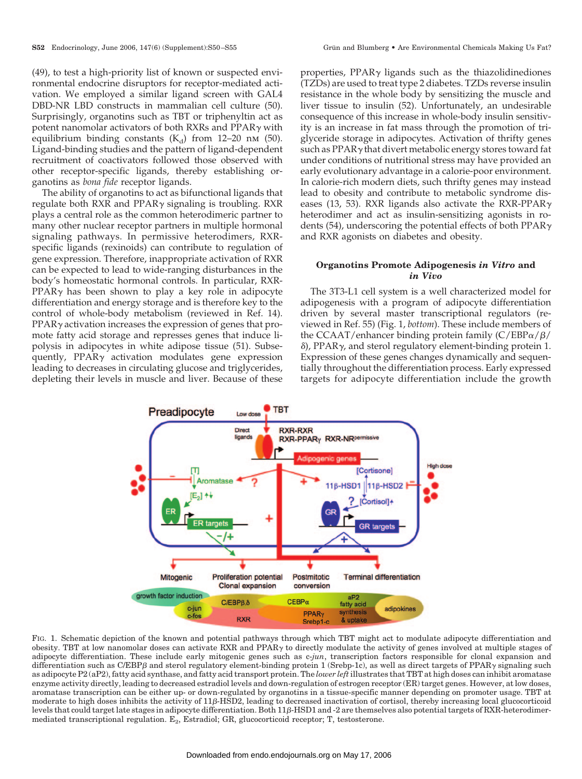(49), to test a high-priority list of known or suspected environmental endocrine disruptors for receptor-mediated activation. We employed a similar ligand screen with GAL4 DBD-NR LBD constructs in mammalian cell culture (50). Surprisingly, organotins such as TBT or triphenyltin act as potent nanomolar activators of both RXRs and PPAR $\gamma$  with equilibrium binding constants  $(K_d)$  from 12–20 nm (50). Ligand-binding studies and the pattern of ligand-dependent recruitment of coactivators followed those observed with other receptor-specific ligands, thereby establishing organotins as *bona fide* receptor ligands.

The ability of organotins to act as bifunctional ligands that regulate both RXR and PPAR $\gamma$  signaling is troubling. RXR plays a central role as the common heterodimeric partner to many other nuclear receptor partners in multiple hormonal signaling pathways. In permissive heterodimers, RXRspecific ligands (rexinoids) can contribute to regulation of gene expression. Therefore, inappropriate activation of RXR can be expected to lead to wide-ranging disturbances in the body's homeostatic hormonal controls. In particular, RXR-PPAR $\gamma$  has been shown to play a key role in adipocyte differentiation and energy storage and is therefore key to the control of whole-body metabolism (reviewed in Ref. 14).  $PPAR<sub>Y</sub>$  activation increases the expression of genes that promote fatty acid storage and represses genes that induce lipolysis in adipocytes in white adipose tissue (51). Subsequently,  $PPAR\gamma$  activation modulates gene expression leading to decreases in circulating glucose and triglycerides, depleting their levels in muscle and liver. Because of these properties, PPAR $\gamma$  ligands such as the thiazolidinediones (TZDs) are used to treat type 2 diabetes. TZDs reverse insulin resistance in the whole body by sensitizing the muscle and liver tissue to insulin (52). Unfortunately, an undesirable consequence of this increase in whole-body insulin sensitivity is an increase in fat mass through the promotion of triglyceride storage in adipocytes. Activation of thrifty genes such as  $PPAR\gamma$  that divert metabolic energy stores toward fat under conditions of nutritional stress may have provided an early evolutionary advantage in a calorie-poor environment. In calorie-rich modern diets, such thrifty genes may instead lead to obesity and contribute to metabolic syndrome diseases (13, 53). RXR ligands also activate the RXR-PPAR $\gamma$ heterodimer and act as insulin-sensitizing agonists in rodents (54), underscoring the potential effects of both  $PPAR<sub>\gamma</sub>$ and RXR agonists on diabetes and obesity.

# **Organotins Promote Adipogenesis** *in Vitro* **and** *in Vivo*

The 3T3-L1 cell system is a well characterized model for adipogenesis with a program of adipocyte differentiation driven by several master transcriptional regulators (reviewed in Ref. 55) (Fig. 1, *bottom*). These include members of the CCAAT/enhancer binding protein family (C/EBP $\alpha/\beta/$  $\delta$ ), PPAR $\gamma$ , and sterol regulatory element-binding protein 1. Expression of these genes changes dynamically and sequentially throughout the differentiation process. Early expressed targets for adipocyte differentiation include the growth



FIG. 1. Schematic depiction of the known and potential pathways through which TBT might act to modulate adipocyte differentiation and obesity. TBT at low nanomolar doses can activate RXR and PPAR $\gamma$  to directly modulate the activity of genes involved at multiple stages of adipocyte differentiation. These include early mitogenic genes such as c-*jun*, transcription factors responsible for clonal expansion and differentiation such as C/EBPß and sterol regulatory element-binding protein 1 (Srebp-1c), as well as direct targets of PPAR $\gamma$  signaling such as adipocyte P2 (aP2), fatty acid synthase, and fatty acid transport protein. The *lower left*illustrates that TBT at high doses can inhibit aromatase enzyme activity directly, leading to decreased estradiol levels and down-regulation of estrogen receptor (ER) target genes. However, at low doses, aromatase transcription can be either up- or down-regulated by organotins in a tissue-specific manner depending on promoter usage. TBT at moderate to high doses inhibits the activity of 11*β*-HSD2, leading to decreased inactivation of cortisol, thereby increasing local glucocorticoid levels that could target late stages in adipocyte differentiation. Both 11 $\beta$ -HSD1 and -2 are themselves also potential targets of RXR-heterodimermediated transcriptional regulation.  $E_2$ , Estradiol; GR, glucocorticoid receptor; T, testosterone.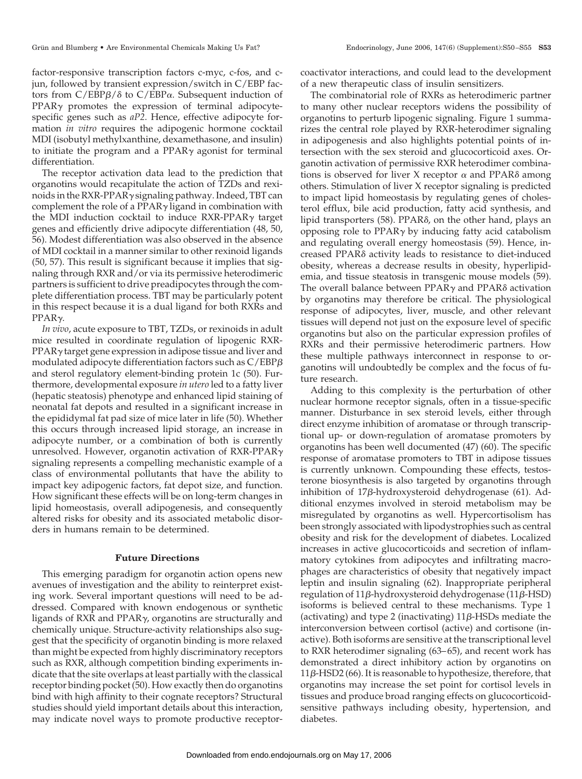factor-responsive transcription factors c-myc, c-fos, and cjun, followed by transient expression/switch in C/EBP factors from  $C/EBP\beta/\delta$  to  $C/EBP\alpha$ . Subsequent induction of  $PPAR<sub>Y</sub>$  promotes the expression of terminal adipocytespecific genes such as *aP2*. Hence, effective adipocyte formation *in vitro* requires the adipogenic hormone cocktail MDI (isobutyl methylxanthine, dexamethasone, and insulin) to initiate the program and a PPAR $\gamma$  agonist for terminal differentiation.

The receptor activation data lead to the prediction that organotins would recapitulate the action of TZDs and rexinoids in the RXR-PPAR $\gamma$  signaling pathway. Indeed, TBT can complement the role of a  $PPAR\gamma$  ligand in combination with the MDI induction cocktail to induce  $RXR-PPAR<sub>\gamma</sub>$  target genes and efficiently drive adipocyte differentiation (48, 50, 56). Modest differentiation was also observed in the absence of MDI cocktail in a manner similar to other rexinoid ligands (50, 57). This result is significant because it implies that signaling through RXR and/or via its permissive heterodimeric partners is sufficient to drive preadipocytes through the complete differentiation process. TBT may be particularly potent in this respect because it is a dual ligand for both RXRs and  $PPAR<sub>Y</sub>$ .

*In vivo*, acute exposure to TBT, TZDs, or rexinoids in adult mice resulted in coordinate regulation of lipogenic RXR- $PPAR<sub>\gamma</sub>$  target gene expression in adipose tissue and liver and modulated adipocyte differentiation factors such as  $\mathsf{C}/\mathsf{EBP}\beta$ and sterol regulatory element-binding protein 1c (50). Furthermore, developmental exposure *in utero* led to a fatty liver (hepatic steatosis) phenotype and enhanced lipid staining of neonatal fat depots and resulted in a significant increase in the epididymal fat pad size of mice later in life (50). Whether this occurs through increased lipid storage, an increase in adipocyte number, or a combination of both is currently unresolved. However, organotin activation of RXR-PPAR signaling represents a compelling mechanistic example of a class of environmental pollutants that have the ability to impact key adipogenic factors, fat depot size, and function. How significant these effects will be on long-term changes in lipid homeostasis, overall adipogenesis, and consequently altered risks for obesity and its associated metabolic disorders in humans remain to be determined.

## **Future Directions**

This emerging paradigm for organotin action opens new avenues of investigation and the ability to reinterpret existing work. Several important questions will need to be addressed. Compared with known endogenous or synthetic ligands of RXR and PPAR<sub>Y</sub>, organotins are structurally and chemically unique. Structure-activity relationships also suggest that the specificity of organotin binding is more relaxed than might be expected from highly discriminatory receptors such as RXR, although competition binding experiments indicate that the site overlaps at least partially with the classical receptor binding pocket (50). How exactly then do organotins bind with high affinity to their cognate receptors? Structural studies should yield important details about this interaction, may indicate novel ways to promote productive receptor-

coactivator interactions, and could lead to the development of a new therapeutic class of insulin sensitizers.

The combinatorial role of RXRs as heterodimeric partner to many other nuclear receptors widens the possibility of organotins to perturb lipogenic signaling. Figure 1 summarizes the central role played by RXR-heterodimer signaling in adipogenesis and also highlights potential points of intersection with the sex steroid and glucocorticoid axes. Organotin activation of permissive RXR heterodimer combinations is observed for liver X receptor  $\alpha$  and PPAR $\delta$  among others. Stimulation of liver X receptor signaling is predicted to impact lipid homeostasis by regulating genes of cholesterol efflux, bile acid production, fatty acid synthesis, and lipid transporters  $(58)$ . PPAR $\delta$ , on the other hand, plays an opposing role to PPAR $\gamma$  by inducing fatty acid catabolism and regulating overall energy homeostasis (59). Hence, increased PPAR<sub>8</sub> activity leads to resistance to diet-induced obesity, whereas a decrease results in obesity, hyperlipidemia, and tissue steatosis in transgenic mouse models (59). The overall balance between  $PPAR\gamma$  and  $PPAR\delta$  activation by organotins may therefore be critical. The physiological response of adipocytes, liver, muscle, and other relevant tissues will depend not just on the exposure level of specific organotins but also on the particular expression profiles of RXRs and their permissive heterodimeric partners. How these multiple pathways interconnect in response to organotins will undoubtedly be complex and the focus of future research.

Adding to this complexity is the perturbation of other nuclear hormone receptor signals, often in a tissue-specific manner. Disturbance in sex steroid levels, either through direct enzyme inhibition of aromatase or through transcriptional up- or down-regulation of aromatase promoters by organotins has been well documented (47) (60). The specific response of aromatase promoters to TBT in adipose tissues is currently unknown. Compounding these effects, testosterone biosynthesis is also targeted by organotins through inhibition of 17 $\beta$ -hydroxysteroid dehydrogenase (61). Additional enzymes involved in steroid metabolism may be misregulated by organotins as well. Hypercortisolism has been strongly associated with lipodystrophies such as central obesity and risk for the development of diabetes. Localized increases in active glucocorticoids and secretion of inflammatory cytokines from adipocytes and infiltrating macrophages are characteristics of obesity that negatively impact leptin and insulin signaling (62). Inappropriate peripheral regulation of 11 $\beta$ -hydroxysteroid dehydrogenase (11 $\beta$ -HSD) isoforms is believed central to these mechanisms. Type 1 (activating) and type 2 (inactivating)  $11\beta$ -HSDs mediate the interconversion between cortisol (active) and cortisone (inactive). Both isoforms are sensitive at the transcriptional level to RXR heterodimer signaling (63– 65), and recent work has demonstrated a direct inhibitory action by organotins on 11β-HSD2 (66). It is reasonable to hypothesize, therefore, that organotins may increase the set point for cortisol levels in tissues and produce broad ranging effects on glucocorticoidsensitive pathways including obesity, hypertension, and diabetes.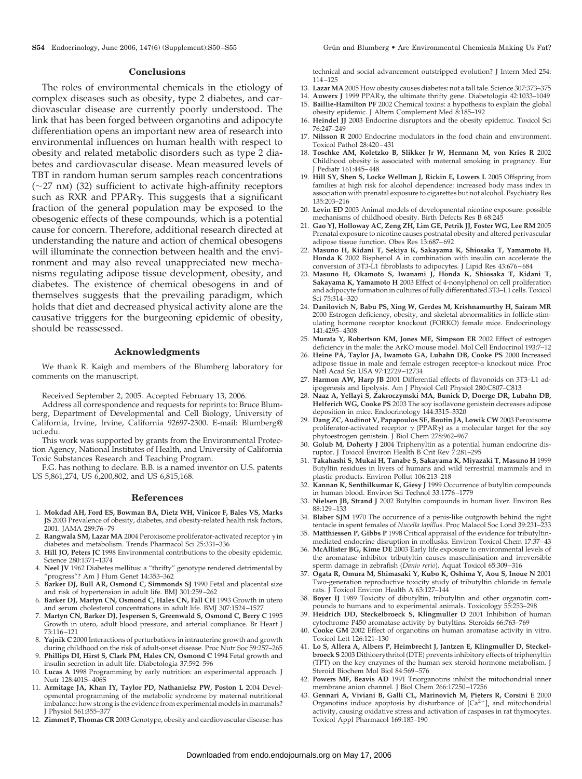#### **Conclusions**

The roles of environmental chemicals in the etiology of complex diseases such as obesity, type 2 diabetes, and cardiovascular disease are currently poorly understood. The link that has been forged between organotins and adipocyte differentiation opens an important new area of research into environmental influences on human health with respect to obesity and related metabolic disorders such as type 2 diabetes and cardiovascular disease. Mean measured levels of TBT in random human serum samples reach concentrations  $(\sim 27 \text{ nm})$  (32) sufficient to activate high-affinity receptors such as RXR and PPAR $\gamma$ . This suggests that a significant fraction of the general population may be exposed to the obesogenic effects of these compounds, which is a potential cause for concern. Therefore, additional research directed at understanding the nature and action of chemical obesogens will illuminate the connection between health and the environment and may also reveal unappreciated new mechanisms regulating adipose tissue development, obesity, and diabetes. The existence of chemical obesogens in and of themselves suggests that the prevailing paradigm, which holds that diet and decreased physical activity alone are the causative triggers for the burgeoning epidemic of obesity, should be reassessed.

### **Acknowledgments**

We thank R. Kaigh and members of the Blumberg laboratory for comments on the manuscript.

Received September 2, 2005. Accepted February 13, 2006.

Address all correspondence and requests for reprints to: Bruce Blumberg, Department of Developmental and Cell Biology, University of California, Irvine, Irvine, California 92697-2300. E-mail: Blumberg@ uci.edu.

This work was supported by grants from the Environmental Protection Agency, National Institutes of Health, and University of California Toxic Substances Research and Teaching Program.

F.G. has nothing to declare. B.B. is a named inventor on U.S. patents US 5,861,274, US 6,200,802, and US 6,815,168.

#### **References**

- 1. **Mokdad AH, Ford ES, Bowman BA, Dietz WH, Vinicor F, Bales VS, Marks JS** 2003 Prevalence of obesity, diabetes, and obesity-related health risk factors, 2001. JAMA 289:76 –79
- 2. **Rangwala SM, Lazar MA** 2004 Peroxisome proliferator-activated receptor  $\gamma$  in diabetes and metabolism. Trends Pharmacol Sci 25:331–336
- 3. **Hill JO, Peters JC** 1998 Environmental contributions to the obesity epidemic. Science 280:1371–1374
- 4. **Neel JV** 1962 Diabetes mellitus: a "thrifty" genotype rendered detrimental by "progress"? Am J Hum Genet 14:353–362
- 5. **Barker DJ, Bull AR, Osmond C, Simmonds SJ** 1990 Fetal and placental size and risk of hypertension in adult life. BMJ 301:259 –262
- 6. **Barker DJ, Martyn CN, Osmond C, Hales CN, Fall CH** 1993 Growth in utero and serum cholesterol concentrations in adult life. BMJ 307:1524 –1527
- 7. **Martyn CN, Barker DJ, Jespersen S, Greenwald S, Osmond C, Berry C** 1995 Growth in utero, adult blood pressure, and arterial compliance. Br Heart J 73:116 –121
- 8. **Yajnik C** 2000 Interactions of perturbations in intrauterine growth and growth during childhood on the risk of adult-onset disease. Proc Nutr Soc 59:257-265
- 9. **Phillips DI, Hirst S, Clark PM, Hales CN, Osmond C** 1994 Fetal growth and insulin secretion in adult life. Diabetologia 37:592–596
- 10. **Lucas A** 1998 Programming by early nutrition: an experimental approach. J Nutr 128:401S– 406S
- 11. **Armitage JA, Khan IY, Taylor PD, Nathanielsz PW, Poston L** 2004 Developmental programming of the metabolic syndrome by maternal nutritional imbalance: how strong is the evidence from experimental models in mammals? Physiol 561:355-377
- 12. **Zimmet P, Thomas CR** 2003 Genotype, obesity and cardiovascular disease: has

technical and social advancement outstripped evolution? J Intern Med 254: 114 –125

- 13. **Lazar MA** 2005 How obesity causes diabetes: not a tall tale. Science 307:373–375
- 14. Auwerx J 1999 PPAR<sub>Y</sub>, the ultimate thrifty gene. Diabetologia 42:1033-1049
- 15. **Baillie-Hamilton PF** 2002 Chemical toxins: a hypothesis to explain the global obesity epidemic. J Altern Complement Med 8:185–192
- 16. **Heindel JJ** 2003 Endocrine disruptors and the obesity epidemic. Toxicol Sci 76:247–249
- 17. **Nilsson R** 2000 Endocrine modulators in the food chain and environment. Toxicol Pathol 28:420 – 431
- 18. **Toschke AM, Koletzko B, Slikker Jr W, Hermann M, von Kries R** 2002 Childhood obesity is associated with maternal smoking in pregnancy. Eur J Pediatr 161:445– 448
- 19. **Hill SY, Shen S, Locke Wellman J, Rickin E, Lowers L** 2005 Offspring from families at high risk for alcohol dependence: increased body mass index in association with prenatal exposure to cigarettes but not alcohol. Psychiatry Res 135:203–216
- 20. **Levin ED** 2003 Animal models of developmental nicotine exposure: possible mechanisms of childhood obesity. Birth Defects Res B 68:245
- 21. **Gao YJ, Holloway AC, Zeng ZH, Lim GE, Petrik JJ, Foster WG, Lee RM** 2005 Prenatal exposure to nicotine causes postnatal obesity and altered perivascular adipose tissue function. Obes Res 13:687– 692
- 22. **Masuno H, Kidani T, Sekiya K, Sakayama K, Shiosaka T, Yamamoto H, Honda K** 2002 Bisphenol A in combination with insulin can accelerate the conversion of 3T3-L1 fibroblasts to adipocytes. J Lipid Res 43:676 – 684
- 23. **Masuno H, Okamoto S, Iwanami J, Honda K, Shiosaka T, Kidani T, Sakayama K, Yamamoto H** 2003 Effect of 4-nonylphenol on cell proliferation and adipocyte formation in cultures of fully differentiated 3T3–L1 cells. Toxicol Sci 75:314 –320
- 24. **Danilovich N, Babu PS, Xing W, Gerdes M, Krishnamurthy H, Sairam MR** 2000 Estrogen deficiency, obesity, and skeletal abnormalities in follicle-stimulating hormone receptor knockout (FORKO) female mice. Endocrinology 141:4295– 4308
- 25. **Murata Y, Robertson KM, Jones ME, Simpson ER** 2002 Effect of estrogen deficiency in the male: the ArKO mouse model. Mol Cell Endocrinol 193:7–12
- 26. **Heine PA, Taylor JA, Iwamoto GA, Lubahn DB, Cooke PS** 2000 Increased adipose tissue in male and female estrogen receptor- $\alpha$  knockout mice. Proc Natl Acad Sci USA 97:12729 –12734
- 27. **Harmon AW, Harp JB** 2001 Differential effects of flavonoids on 3T3–L1 adipogenesis and lipolysis. Am J Physiol Cell Physiol 280:C807–C813
- 28. **Naaz A, Yellayi S, Zakroczymski MA, Bunick D, Doerge DR, Lubahn DB, Helferich WG, Cooke PS** 2003 The soy isoflavone genistein decreases adipose deposition in mice. Endocrinology 144:3315–3320
- 29. **Dang ZC, Audinot V, Papapoulos SE, Boutin JA, Lowik CW** 2003 Peroxisome proliferator-activated receptor  $\gamma$  (PPAR $\gamma$ ) as a molecular target for the soy phytoestrogen genistein. J Biol Chem 278:962–967
- 30. **Golub M, Doherty J** 2004 Triphenyltin as a potential human endocrine disruptor. J Toxicol Environ Health B Crit Rev 7:281–295
- 31. **Takahashi S, Mukai H, Tanabe S, Sakayama K, Miyazaki T, Masuno H** 1999 Butyltin residues in livers of humans and wild terrestrial mammals and in plastic products. Environ Pollut 106:213–218
- 32. **Kannan K, Senthilkumar K, Giesy J** 1999 Occurrence of butyltin compounds in human blood. Environ Sci Technol 33:1776 –1779
- 33. **Nielsen JB, Strand J** 2002 Butyltin compounds in human liver. Environ Res 88:129 –133
- 34. **Blaber SJM** 1970 The occurrence of a penis-like outgrowth behind the right tentacle in spent females of *Nucella lapillus*. Proc Malacol Soc Lond 39:231–233
- 35. **Matthiessen P, Gibbs P** 1998 Critical appraisal of the evidence for tributyltinmediated endocrine disruption in mollusks. Environ Toxicol Chem 17:37– 43
- 36. **McAllister BG, Kime DE** 2003 Early life exposure to environmental levels of the aromatase inhibitor tributyltin causes masculinisation and irreversible sperm damage in zebrafish (*Danio rerio*). Aquat Toxicol 65:309 –316
- 37. **Ogata R, Omura M, Shimasaki Y, Kubo K, Oshima Y, Aou S, Inoue N** 2001 Two-generation reproductive toxicity study of tributyltin chloride in female rats. J Toxicol Environ Health A 63:127–144
- 38. **Boyer IJ** 1989 Toxicity of dibutyltin, tributyltin and other organotin compounds to humans and to experimental animals. Toxicology 55:253–298
- 39. **Heidrich DD, Steckelbroeck S, Klingmuller D** 2001 Inhibition of human cytochrome P450 aromatase activity by butyltins. Steroids 66:763–769
- 40. **Cooke GM** 2002 Effect of organotins on human aromatase activity in vitro. Toxicol Lett 126:121–130
- 41. **Lo S, Allera A, Albers P, Heimbrecht J, Jantzen E, Klingmuller D, Steckelbroeck S** 2003 Dithioerythritol (DTE) prevents inhibitory effects of triphenyltin (TPT) on the key enzymes of the human sex steroid hormone metabolism. J Steroid Biochem Mol Biol 84:569 –576
- 42. **Powers MF, Beavis AD** 1991 Triorganotins inhibit the mitochondrial inner membrane anion channel. J Biol Chem 266:17250 –17256
- 43. **Gennari A, Viviani B, Galli CL, Marinovich M, Pieters R, Corsini E** 2000 Organotins induce apoptosis by disturbance of  $[Ca<sup>2+</sup>]$  and mitochondrial activity, causing oxidative stress and activation of caspases in rat thymocytes. Toxicol Appl Pharmacol 169:185–190